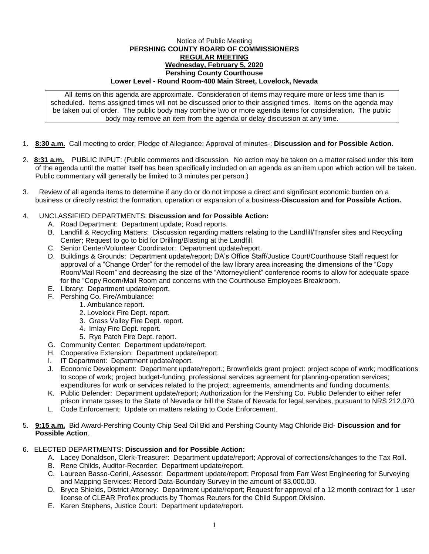## Notice of Public Meeting **PERSHING COUNTY BOARD OF COMMISSIONERS REGULAR MEETING Wednesday, February 5, 2020 Pershing County Courthouse Lower Level - Round Room-400 Main Street, Lovelock, Nevada**

All items on this agenda are approximate. Consideration of items may require more or less time than is scheduled. Items assigned times will not be discussed prior to their assigned times. Items on the agenda may be taken out of order. The public body may combine two or more agenda items for consideration. The public body may remove an item from the agenda or delay discussion at any time.

- 1. **8:30 a.m.** Call meeting to order; Pledge of Allegiance; Approval of minutes-: **Discussion and for Possible Action**.
- 2. **8:31 a.m.** PUBLIC INPUT: (Public comments and discussion. No action may be taken on a matter raised under this item of the agenda until the matter itself has been specifically included on an agenda as an item upon which action will be taken. Public commentary will generally be limited to 3 minutes per person.)
- 3. Review of all agenda items to determine if any do or do not impose a direct and significant economic burden on a business or directly restrict the formation, operation or expansion of a business-**Discussion and for Possible Action.**

## 4. UNCLASSIFIED DEPARTMENTS: **Discussion and for Possible Action:**

- A. Road Department: Department update; Road reports.
- B. Landfill & Recycling Matters: Discussion regarding matters relating to the Landfill/Transfer sites and Recycling Center; Request to go to bid for Drilling/Blasting at the Landfill.
- C. Senior Center/Volunteer Coordinator: Department update/report.
- D. Buildings & Grounds: Department update/report; DA's Office Staff/Justice Court/Courthouse Staff request for approval of a "Change Order" for the remodel of the law library area increasing the dimensions of the "Copy Room/Mail Room" and decreasing the size of the "Attorney/client" conference rooms to allow for adequate space for the "Copy Room/Mail Room and concerns with the Courthouse Employees Breakroom.
- E. Library: Department update/report.
- F. Pershing Co. Fire/Ambulance:
	- 1. Ambulance report.
	- 2. Lovelock Fire Dept. report.
	- 3. Grass Valley Fire Dept. report.
	- 4. Imlay Fire Dept. report.
	- 5. Rye Patch Fire Dept. report.
- G. Community Center: Department update/report.
- H. Cooperative Extension: Department update/report.
- I. IT Department: Department update/report.
- J. Economic Development: Department update/report.; Brownfields grant project: project scope of work; modifications to scope of work; project budget-funding; professional services agreement for planning-operation services; expenditures for work or services related to the project; agreements, amendments and funding documents.
- K. Public Defender: Department update/report; Authorization for the Pershing Co. Public Defender to either refer prison inmate cases to the State of Nevada or bill the State of Nevada for legal services, pursuant to NRS 212.070.
- L. Code Enforcement: Update on matters relating to Code Enforcement.
- 5. **9:15 a.m.** Bid Award-Pershing County Chip Seal Oil Bid and Pershing County Mag Chloride Bid- **Discussion and for Possible Action**.

## 6. ELECTED DEPARTMENTS: **Discussion and for Possible Action:**

- A. Lacey Donaldson, Clerk-Treasurer: Department update/report; Approval of corrections/changes to the Tax Roll.
- B. Rene Childs, Auditor-Recorder: Department update/report.
- C. Laureen Basso-Cerini, Assessor: Department update/report; Proposal from Farr West Engineering for Surveying and Mapping Services: Record Data-Boundary Survey in the amount of \$3,000.00.
- D. Bryce Shields, District Attorney: Department update/report; Request for approval of a 12 month contract for 1 user license of CLEAR Proflex products by Thomas Reuters for the Child Support Division.
- E. Karen Stephens, Justice Court: Department update/report.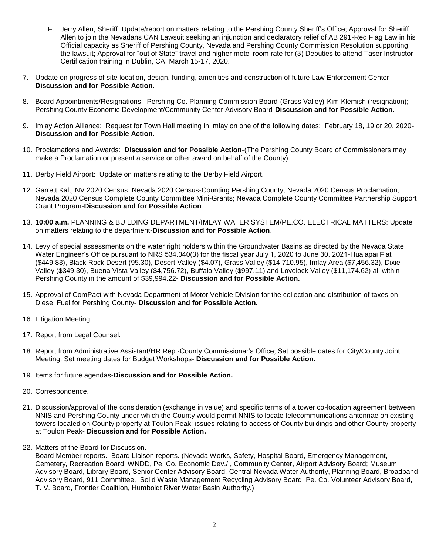- F. Jerry Allen, Sheriff: Update/report on matters relating to the Pershing County Sheriff's Office; Approval for Sheriff Allen to join the Nevadans CAN Lawsuit seeking an injunction and declaratory relief of AB 291-Red Flag Law in his Official capacity as Sheriff of Pershing County, Nevada and Pershing County Commission Resolution supporting the lawsuit; Approval for "out of State" travel and higher motel room rate for (3) Deputies to attend Taser Instructor Certification training in Dublin, CA. March 15-17, 2020.
- 7. Update on progress of site location, design, funding, amenities and construction of future Law Enforcement Center-**Discussion and for Possible Action**.
- 8. Board Appointments/Resignations: Pershing Co. Planning Commission Board-(Grass Valley)-Kim Klemish (resignation); Pershing County Economic Development/Community Center Advisory Board-**Discussion and for Possible Action**.
- 9. Imlay Action Alliance: Request for Town Hall meeting in Imlay on one of the following dates: February 18, 19 or 20, 2020- **Discussion and for Possible Action**.
- 10. Proclamations and Awards: **Discussion and for Possible Action**-(The Pershing County Board of Commissioners may make a Proclamation or present a service or other award on behalf of the County).
- 11. Derby Field Airport: Update on matters relating to the Derby Field Airport.
- 12. Garrett Kalt, NV 2020 Census: Nevada 2020 Census-Counting Pershing County; Nevada 2020 Census Proclamation; Nevada 2020 Census Complete County Committee Mini-Grants; Nevada Complete County Committee Partnership Support Grant Program-**Discussion and for Possible Action**.
- 13. **10:00 a.m.** PLANNING & BUILDING DEPARTMENT/IMLAY WATER SYSTEM/PE.CO. ELECTRICAL MATTERS: Update on matters relating to the department-**Discussion and for Possible Action**.
- 14. Levy of special assessments on the water right holders within the Groundwater Basins as directed by the Nevada State Water Engineer's Office pursuant to NRS 534.040(3) for the fiscal year July 1, 2020 to June 30, 2021-Hualapai Flat (\$449.83), Black Rock Desert (95.30), Desert Valley (\$4.07), Grass Valley (\$14,710.95), Imlay Area (\$7,456.32), Dixie Valley (\$349.30), Buena Vista Valley (\$4,756.72), Buffalo Valley (\$997.11) and Lovelock Valley (\$11,174.62) all within Pershing County in the amount of \$39,994.22- **Discussion and for Possible Action.**
- 15. Approval of ComPact with Nevada Department of Motor Vehicle Division for the collection and distribution of taxes on Diesel Fuel for Pershing County- **Discussion and for Possible Action.**
- 16. Litigation Meeting.
- 17. Report from Legal Counsel.
- 18. Report from Administrative Assistant/HR Rep.-County Commissioner's Office; Set possible dates for City/County Joint Meeting; Set meeting dates for Budget Workshops- **Discussion and for Possible Action.**
- 19. Items for future agendas-**Discussion and for Possible Action.**
- 20. Correspondence.
- 21. Discussion/approval of the consideration (exchange in value) and specific terms of a tower co-location agreement between NNIS and Pershing County under which the County would permit NNIS to locate telecommunications antennae on existing towers located on County property at Toulon Peak; issues relating to access of County buildings and other County property at Toulon Peak- **Discussion and for Possible Action.**
- 22. Matters of the Board for Discussion.

Board Member reports. Board Liaison reports. (Nevada Works, Safety, Hospital Board, Emergency Management, Cemetery, Recreation Board, WNDD, Pe. Co. Economic Dev./ , Community Center, Airport Advisory Board; Museum Advisory Board, Library Board, Senior Center Advisory Board, Central Nevada Water Authority, Planning Board, Broadband Advisory Board, 911 Committee, Solid Waste Management Recycling Advisory Board, Pe. Co. Volunteer Advisory Board, T. V. Board, Frontier Coalition, Humboldt River Water Basin Authority.)